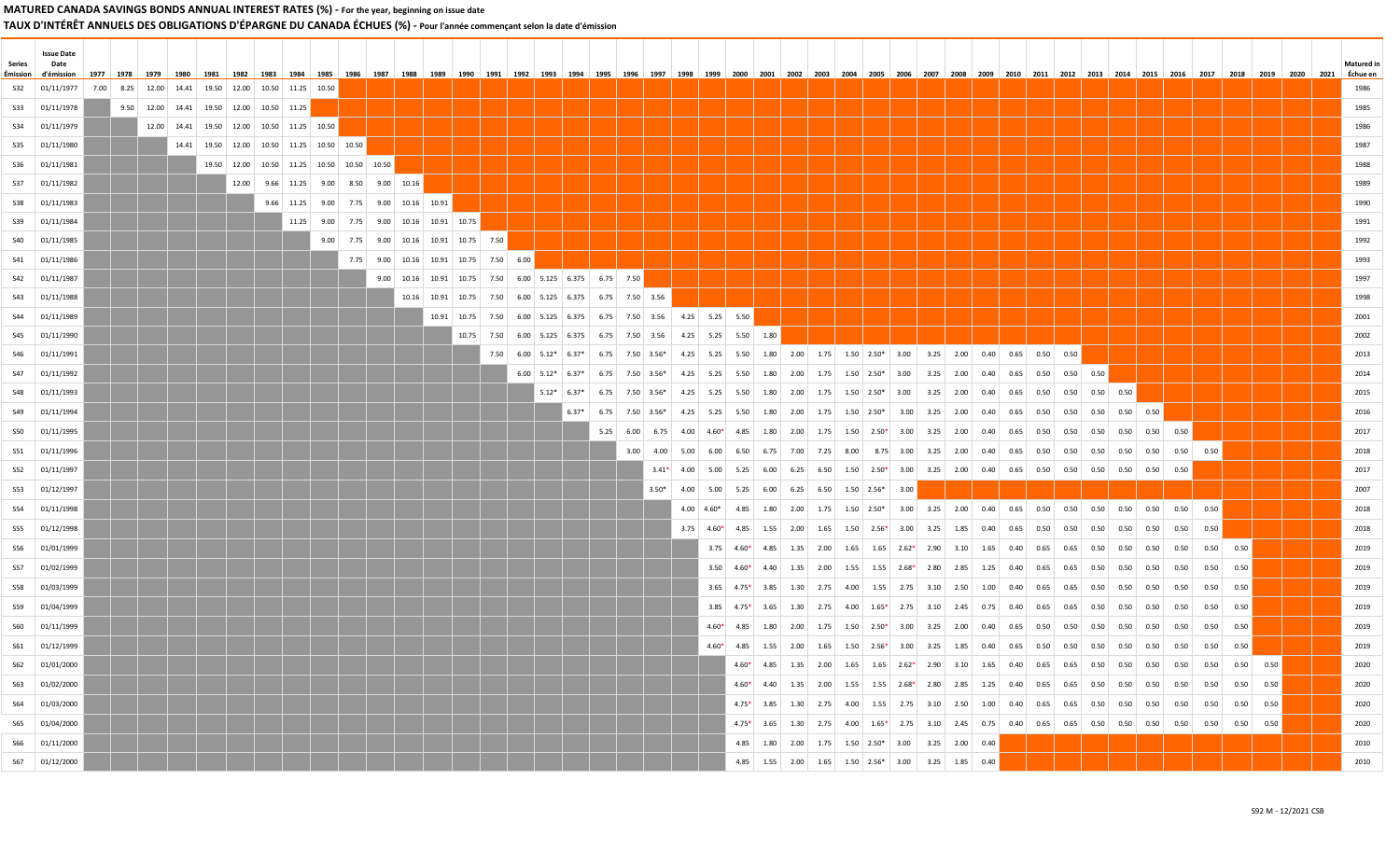# TAUX D'INTÉRÊT ANNUELS DES OBLIGATIONS D'ÉPARGNE DU CANADA ÉCHUES (%) - Pour l'année commençant selon la date d'émission

| Series | <b>Issue Date</b><br>Date              |      |      |                                                                  |                                                       |                                       |      |                                        |  |                                                                                       |  |         |  |                                                                  |                                  |                |  |                                               |  |                                                                                                                                                                                                                                |  |  |  |  |  |  |      | <b>Matured</b> ir |
|--------|----------------------------------------|------|------|------------------------------------------------------------------|-------------------------------------------------------|---------------------------------------|------|----------------------------------------|--|---------------------------------------------------------------------------------------|--|---------|--|------------------------------------------------------------------|----------------------------------|----------------|--|-----------------------------------------------|--|--------------------------------------------------------------------------------------------------------------------------------------------------------------------------------------------------------------------------------|--|--|--|--|--|--|------|-------------------|
|        | Émission d'émission<br>\$32 01/11/1977 | 1977 | 1978 | 1979 1980<br>7.00 8.25 12.00 14.41 19.50 12.00 10.50 11.25 10.50 |                                                       |                                       |      |                                        |  |                                                                                       |  |         |  |                                                                  |                                  |                |  |                                               |  | 1981   1982   1983   1984   1985   1986   1987   1988   1989   1990   1991   1992   1993   1994   1995   1996   1997   1998   2000   2001   2002   2003   2004   2005   2006   2007   2008   2009   2010   2011   2012   2013  |  |  |  |  |  |  | 2021 | Échue en          |
|        | S33 01/11/1978                         |      |      | 9.50 12.00 14.41 19.50 12.00 10.50 11.25                         |                                                       |                                       |      |                                        |  |                                                                                       |  |         |  |                                                                  |                                  |                |  |                                               |  |                                                                                                                                                                                                                                |  |  |  |  |  |  |      | 1985              |
|        | S34 01/11/1979                         |      |      | 12.00 14.41 19.50 12.00 10.50 11.25 10.50                        |                                                       |                                       |      |                                        |  |                                                                                       |  |         |  |                                                                  |                                  |                |  |                                               |  |                                                                                                                                                                                                                                |  |  |  |  |  |  |      | 1986              |
|        | S35 01/11/1980                         |      |      |                                                                  | 14.41   19.50   12.00   10.50   11.25   10.50   10.50 |                                       |      |                                        |  |                                                                                       |  |         |  |                                                                  |                                  |                |  |                                               |  |                                                                                                                                                                                                                                |  |  |  |  |  |  |      | 1987              |
|        | S36 01/11/1981                         |      |      |                                                                  | 19.50 12.00 10.50 11.25 10.50 10.50 10.50             |                                       |      |                                        |  |                                                                                       |  |         |  |                                                                  |                                  |                |  |                                               |  |                                                                                                                                                                                                                                |  |  |  |  |  |  |      | 1988              |
|        | S37 01/11/1982                         |      |      |                                                                  |                                                       | 12.00 9.66 11.25 9.00 8.50 9.00 10.16 |      |                                        |  |                                                                                       |  |         |  |                                                                  |                                  |                |  |                                               |  |                                                                                                                                                                                                                                |  |  |  |  |  |  |      | 1989              |
|        | \$38 01/11/1983                        |      |      |                                                                  |                                                       | 9.66 11.25 9.00 7.75 9.00 10.16 10.91 |      |                                        |  |                                                                                       |  |         |  |                                                                  |                                  |                |  |                                               |  |                                                                                                                                                                                                                                |  |  |  |  |  |  |      | 1990              |
|        | S39 01/11/1984                         |      |      |                                                                  |                                                       |                                       |      | 11.25 9.00 7.75 9.00 10.16 10.91 10.75 |  |                                                                                       |  |         |  |                                                                  |                                  |                |  |                                               |  |                                                                                                                                                                                                                                |  |  |  |  |  |  |      | 1991              |
|        | S40 01/11/1985                         |      |      |                                                                  |                                                       |                                       | 9.00 |                                        |  | 7.75 9.00 10.16 10.91 10.75 7.50                                                      |  |         |  |                                                                  |                                  |                |  |                                               |  |                                                                                                                                                                                                                                |  |  |  |  |  |  |      | 1992              |
|        | S41 01/11/1986                         |      |      |                                                                  |                                                       |                                       |      |                                        |  | 7.75 9.00 10.16 10.91 10.75 7.50 6.00                                                 |  |         |  |                                                                  |                                  |                |  |                                               |  |                                                                                                                                                                                                                                |  |  |  |  |  |  |      | 1993              |
|        | S42 01/11/1987                         |      |      |                                                                  |                                                       |                                       |      |                                        |  | 9.00 10.16 10.91 10.75 7.50 6.00 5.125 6.375 6.75 7.50                                |  |         |  |                                                                  |                                  |                |  |                                               |  |                                                                                                                                                                                                                                |  |  |  |  |  |  |      | 1997              |
|        | S43 01/11/1988                         |      |      |                                                                  |                                                       |                                       |      |                                        |  | 10.16 10.91 10.75 7.50 6.00 5.125 6.375 6.75 7.50 3.56                                |  |         |  |                                                                  |                                  |                |  |                                               |  |                                                                                                                                                                                                                                |  |  |  |  |  |  |      | 1998              |
|        | S44 01/11/1989                         |      |      |                                                                  |                                                       |                                       |      |                                        |  | 10.91   10.75   7.50   6.00   5.125   6.375   6.75   7.50   3.56   4.25   5.25   5.50 |  |         |  |                                                                  |                                  |                |  |                                               |  |                                                                                                                                                                                                                                |  |  |  |  |  |  |      | 2001              |
|        | S45 01/11/1990                         |      |      |                                                                  |                                                       |                                       |      |                                        |  |                                                                                       |  |         |  | $10.75$ 7.50 6.00 5.125 6.375 6.75 7.50 3.56 4.25 5.25 5.50 1.80 |                                  |                |  |                                               |  |                                                                                                                                                                                                                                |  |  |  |  |  |  |      | 2002              |
|        | S46 01/11/1991                         |      |      |                                                                  |                                                       |                                       |      |                                        |  |                                                                                       |  |         |  |                                                                  |                                  |                |  |                                               |  | 7.50 6.00 5.12* 6.37* 6.75 7.50 3.56* 4.25 5.25 5.50 1.80 2.00 1.75 1.50 2.50* 3.00 3.25 2.00 0.40 0.65 0.50 0.50                                                                                                              |  |  |  |  |  |  |      | 2013              |
|        | S47 01/11/1992                         |      |      |                                                                  |                                                       |                                       |      |                                        |  |                                                                                       |  |         |  |                                                                  |                                  |                |  |                                               |  | $6.00$   $5.12*$   $6.37*$   $6.75$   $7.50$   $3.56*$   $4.25$   $5.25$   $5.50$   $1.80$   $2.00$   $1.75$   $1.50$   $2.50*$   $3.00$   $3.25$   $2.00$   $0.40$   $0.65$   $0.50$   $0.50$   $0.50$                        |  |  |  |  |  |  |      | 2014              |
|        | S48 01/11/1993                         |      |      |                                                                  |                                                       |                                       |      |                                        |  |                                                                                       |  |         |  |                                                                  |                                  |                |  |                                               |  | $5.12^*$ 6.37* 6.75 7.50 3.56* 4.25 5.25 5.50 1.80 2.00 1.75 1.50 2.50* 3.00 3.25 2.00 0.40 0.65 0.50 0.50 0.50 0.50 0.50                                                                                                      |  |  |  |  |  |  |      | 2015              |
|        | S49 01/11/1994                         |      |      |                                                                  |                                                       |                                       |      |                                        |  |                                                                                       |  | $6.37*$ |  |                                                                  |                                  |                |  |                                               |  | $6.75$   $7.50$   $3.56^*$   $4.25$   $5.25$   $5.50$   $1.80$   $2.00$   $1.75$   $1.50$   $2.50^*$   $3.00$   $3.25$   $2.00$   $0.40$   $0.65$   $0.50$   $0.50$   $0.50$   $0.50$   $0.50$   $0.50$                        |  |  |  |  |  |  |      | 2016              |
|        | S50 01/11/1995                         |      |      |                                                                  |                                                       |                                       |      |                                        |  |                                                                                       |  |         |  |                                                                  |                                  |                |  |                                               |  | 5.25 6.00 6.75 4.00 4.60* 4.85 1.80 2.00 1.75 1.50 2.50* 3.00 3.25 2.00 0.40 0.65 0.50 0.50 0.50 0.50 0.50 0.50                                                                                                                |  |  |  |  |  |  |      | 2017              |
|        | S51 01/11/1996                         |      |      |                                                                  |                                                       |                                       |      |                                        |  |                                                                                       |  |         |  |                                                                  |                                  |                |  |                                               |  |                                                                                                                                                                                                                                |  |  |  |  |  |  |      | 2018              |
|        | S52 01/11/1997                         |      |      |                                                                  |                                                       |                                       |      |                                        |  |                                                                                       |  |         |  |                                                                  |                                  |                |  |                                               |  | $3.41*$ 4.00 5.00 5.25 6.00 6.25 6.50 1.50 2.50* 3.00 3.25 2.00 0.40 0.65 0.50 0.50 0.50 0.50 0.50 0.50                                                                                                                        |  |  |  |  |  |  |      | 2017              |
|        | S53 01/12/1997                         |      |      |                                                                  |                                                       |                                       |      |                                        |  |                                                                                       |  |         |  | $3.50*$                                                          |                                  |                |  | 4.00 5.00 5.25 6.00 6.25 6.50 1.50 2.56* 3.00 |  |                                                                                                                                                                                                                                |  |  |  |  |  |  |      | 2007              |
|        | S54 01/11/1998                         |      |      |                                                                  |                                                       |                                       |      |                                        |  |                                                                                       |  |         |  |                                                                  |                                  |                |  |                                               |  | $4.00$   $4.60*$   $4.85$   $1.80$   $2.00$   $1.75$   $1.50$   $2.50*$   $3.00$   $3.25$   $2.00$   $0.40$   $0.65$   $0.50$   $0.50$   $0.50$   $0.50$   $0.50$   $0.50$   $0.50$   $0.50$   $0.50$   $0.50$   $0.50$   $0.$ |  |  |  |  |  |  |      | 2018              |
|        | S55 01/12/1998                         |      |      |                                                                  |                                                       |                                       |      |                                        |  |                                                                                       |  |         |  |                                                                  |                                  |                |  |                                               |  |                                                                                                                                                                                                                                |  |  |  |  |  |  |      | 2018              |
|        | S56 01/01/1999                         |      |      |                                                                  |                                                       |                                       |      |                                        |  |                                                                                       |  |         |  |                                                                  |                                  |                |  |                                               |  |                                                                                                                                                                                                                                |  |  |  |  |  |  |      | 2019              |
|        | S57 01/02/1999                         |      |      |                                                                  |                                                       |                                       |      |                                        |  |                                                                                       |  |         |  |                                                                  |                                  |                |  |                                               |  | $3.50$ 4.60* 4.40   1.35   2.00   1.55   1.55   2.68* 2.80   2.85   1.25   0.40   0.65   0.56   0.50   0.50   0.50   0.50   0.50   0.50   0.50   0.50   0.50   0.50   0.50   0.50   0.50   0.50   0.50   0.50   0.50   0.50    |  |  |  |  |  |  |      | 2019              |
|        | S58 01/03/1999                         |      |      |                                                                  |                                                       |                                       |      |                                        |  |                                                                                       |  |         |  |                                                                  |                                  |                |  |                                               |  | $3.65$   $4.75*$   $3.85$   $1.30$   $2.75$   $4.00$   $1.55$   $2.75$   $3.10$   $2.50$   $1.00$   $0.40$   $0.65$   $0.65$   $0.50$   $0.50$   $0.50$   $0.50$   $0.50$   $0.50$   $0.50$   $0.50$                           |  |  |  |  |  |  |      | 2019              |
|        | S59 01/04/1999                         |      |      |                                                                  |                                                       |                                       |      |                                        |  |                                                                                       |  |         |  |                                                                  |                                  |                |  |                                               |  |                                                                                                                                                                                                                                |  |  |  |  |  |  |      | 2019              |
|        | S60 01/11/1999                         |      |      |                                                                  |                                                       |                                       |      |                                        |  |                                                                                       |  |         |  |                                                                  |                                  | $4.60*$ $4.85$ |  |                                               |  |                                                                                                                                                                                                                                |  |  |  |  |  |  |      | 2019              |
|        | S61 01/12/1999                         |      |      |                                                                  |                                                       |                                       |      |                                        |  |                                                                                       |  |         |  |                                                                  |                                  |                |  |                                               |  |                                                                                                                                                                                                                                |  |  |  |  |  |  |      | 2019              |
|        | S62 01/01/2000                         |      |      |                                                                  |                                                       |                                       |      |                                        |  |                                                                                       |  |         |  |                                                                  | <u>de la provincia de la pro</u> |                |  |                                               |  |                                                                                                                                                                                                                                |  |  |  |  |  |  |      | 2020              |
|        | S63 01/02/2000                         |      |      |                                                                  |                                                       |                                       |      |                                        |  |                                                                                       |  |         |  |                                                                  |                                  |                |  |                                               |  |                                                                                                                                                                                                                                |  |  |  |  |  |  |      | 2020              |
|        | S64 01/03/2000                         |      |      |                                                                  |                                                       |                                       |      |                                        |  |                                                                                       |  |         |  |                                                                  |                                  |                |  |                                               |  |                                                                                                                                                                                                                                |  |  |  |  |  |  |      | 2020              |
|        | S65 01/04/2000                         |      |      |                                                                  |                                                       |                                       |      |                                        |  |                                                                                       |  |         |  |                                                                  |                                  |                |  |                                               |  |                                                                                                                                                                                                                                |  |  |  |  |  |  |      | 2020              |
|        | S66 01/11/2000                         |      |      |                                                                  |                                                       |                                       |      |                                        |  |                                                                                       |  |         |  |                                                                  |                                  |                |  |                                               |  | 4.85 1.80 2.00 1.75 1.50 2.50* 3.00 3.25 2.00 0.40                                                                                                                                                                             |  |  |  |  |  |  |      | 2010              |
|        | S67 01/12/2000                         |      |      |                                                                  |                                                       |                                       |      |                                        |  |                                                                                       |  |         |  |                                                                  |                                  |                |  |                                               |  | 4.85 1.55 2.00 1.65 1.50 2.56* 3.00 3.25 1.85 0.40                                                                                                                                                                             |  |  |  |  |  |  |      | 2010              |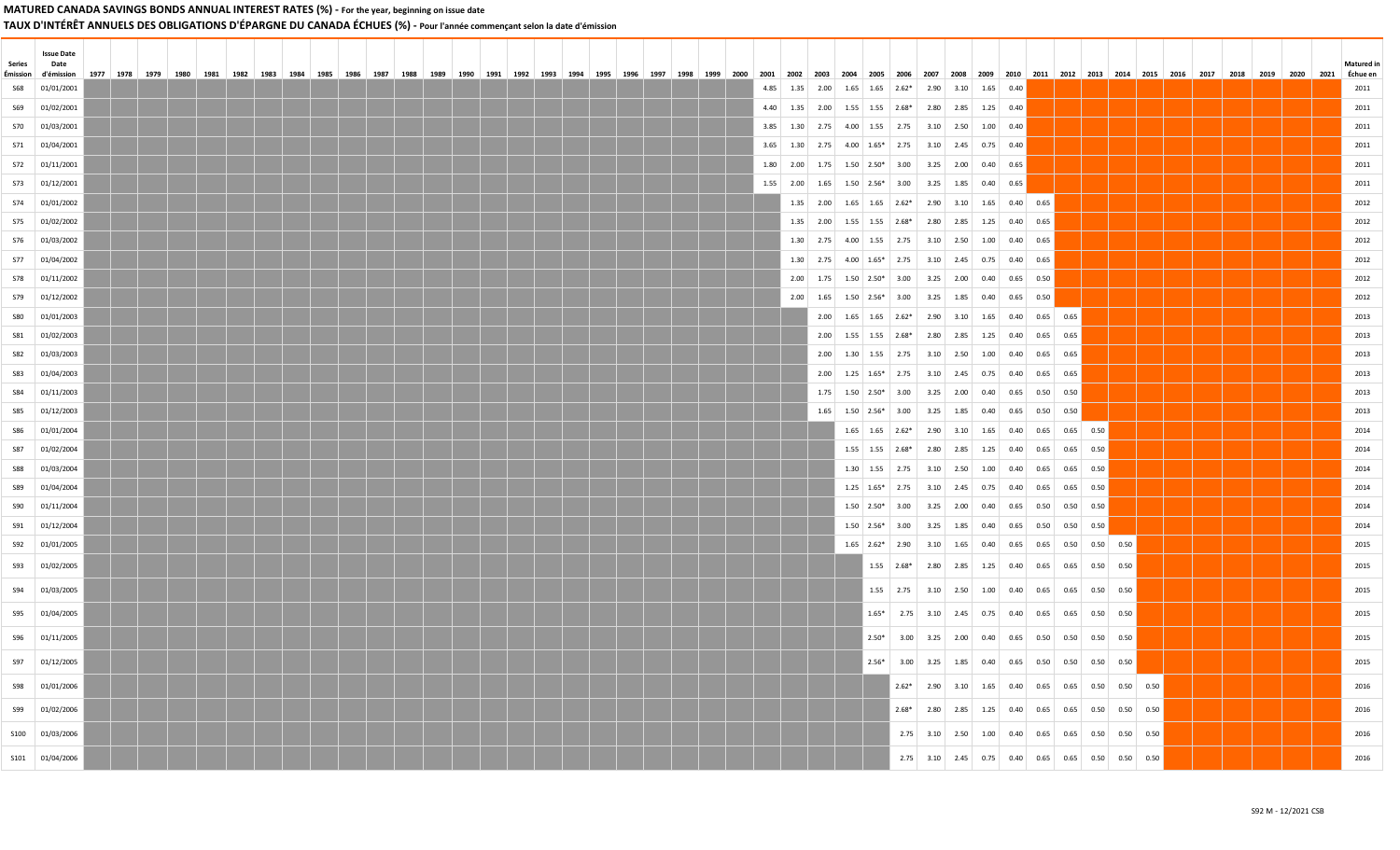TAUX D'INTÉRÊT ANNUELS DES OBLIGATIONS D'ÉPARGNE DU CANADA ÉCHUES (%) - Pour l'année commençant selon la date d'émission

| Series<br>Émission | <b>Issue Date</b><br>Date<br>d'émission | 1977   1978   1979 |  | 1980 | 1981 | 1982 |  |  | 1983   1984   1985   1986   1987   1988   1989   1990 |  |  |  |  |  |  |  |  |      |      | 1991 1992 1993 1994 1995 1996 1997 1998 1999 2000 2001 2002 2003 2004 2005 2006 2007 2008 2009 2010 2011 2012 2013 2014 2015 2016 2017 2018 2019 2020 |                                                        |  |                                                      |  |  |  |  |  |  |  | <b>Matured</b> in<br>2021 Échue en |
|--------------------|-----------------------------------------|--------------------|--|------|------|------|--|--|-------------------------------------------------------|--|--|--|--|--|--|--|--|------|------|-------------------------------------------------------------------------------------------------------------------------------------------------------|--------------------------------------------------------|--|------------------------------------------------------|--|--|--|--|--|--|--|------------------------------------|
| <b>S68</b>         | 01/01/2001                              |                    |  |      |      |      |  |  |                                                       |  |  |  |  |  |  |  |  | 4.85 |      | $1.35$ 2.00 1.65 1.65 2.62* 2.90 3.10 1.65 0.40                                                                                                       |                                                        |  |                                                      |  |  |  |  |  |  |  | 2011                               |
| S69                | 01/02/2001                              |                    |  |      |      |      |  |  |                                                       |  |  |  |  |  |  |  |  | 4.40 |      | $1.35$ 2.00 1.55 1.55 2.68* 2.80 2.85 1.25 0.40                                                                                                       |                                                        |  |                                                      |  |  |  |  |  |  |  | 2011                               |
|                    | \$70 01/03/2001                         |                    |  |      |      |      |  |  |                                                       |  |  |  |  |  |  |  |  | 3.85 |      | $1.30$ 2.75 4.00 1.55 2.75 3.10 2.50 1.00 0.40                                                                                                        |                                                        |  |                                                      |  |  |  |  |  |  |  | 2011                               |
|                    | S71 01/04/2001                          |                    |  |      |      |      |  |  |                                                       |  |  |  |  |  |  |  |  | 3.65 |      | $1.30$ $2.75$ $4.00$ $1.65*$ $2.75$ $3.10$ $2.45$ 0.75 0.40                                                                                           |                                                        |  |                                                      |  |  |  |  |  |  |  | 2011                               |
|                    | S72 01/11/2001                          |                    |  |      |      |      |  |  |                                                       |  |  |  |  |  |  |  |  | 1.80 |      | 2.00 1.75 1.50 2.50* 3.00 3.25 2.00 0.40 0.65                                                                                                         |                                                        |  |                                                      |  |  |  |  |  |  |  | 2011                               |
|                    | \$73 01/12/2001                         |                    |  |      |      |      |  |  |                                                       |  |  |  |  |  |  |  |  | 1.55 |      | 2.00 1.65 1.50 2.56* 3.00 3.25 1.85 0.40 0.65                                                                                                         |                                                        |  |                                                      |  |  |  |  |  |  |  | 2011                               |
|                    | S74 01/01/2002                          |                    |  |      |      |      |  |  |                                                       |  |  |  |  |  |  |  |  |      |      | 1.35 2.00 1.65 1.65 2.62* 2.90 3.10 1.65 0.40 0.65                                                                                                    |                                                        |  |                                                      |  |  |  |  |  |  |  | 2012                               |
|                    | S75 01/02/2002                          |                    |  |      |      |      |  |  |                                                       |  |  |  |  |  |  |  |  |      |      | 1.35 2.00 1.55 1.55 2.68* 2.80 2.85 1.25 0.40 0.65                                                                                                    |                                                        |  |                                                      |  |  |  |  |  |  |  | 2012                               |
|                    | S76 01/03/2002                          |                    |  |      |      |      |  |  |                                                       |  |  |  |  |  |  |  |  |      |      | 1.30 2.75 4.00 1.55 2.75 3.10 2.50 1.00 0.40 0.65                                                                                                     |                                                        |  |                                                      |  |  |  |  |  |  |  | 2012                               |
|                    | S77 01/04/2002                          |                    |  |      |      |      |  |  |                                                       |  |  |  |  |  |  |  |  |      |      | $1.30$ $2.75$ $4.00$ $1.65*$ $2.75$ $3.10$ $2.45$ 0.75 0.40 0.65                                                                                      |                                                        |  |                                                      |  |  |  |  |  |  |  | 2012                               |
|                    | S78 01/11/2002                          |                    |  |      |      |      |  |  |                                                       |  |  |  |  |  |  |  |  |      |      | 2.00 1.75 1.50 2.50* 3.00 3.25 2.00 0.40 0.65 0.50                                                                                                    |                                                        |  |                                                      |  |  |  |  |  |  |  | 2012                               |
|                    | S79 01/12/2002                          |                    |  |      |      |      |  |  |                                                       |  |  |  |  |  |  |  |  |      |      | 2.00 1.65 1.50 2.56* 3.00 3.25 1.85 0.40 0.65 0.50                                                                                                    |                                                        |  |                                                      |  |  |  |  |  |  |  | 2012                               |
| <b>S80</b>         | 01/01/2003                              |                    |  |      |      |      |  |  |                                                       |  |  |  |  |  |  |  |  |      |      | 2.00 1.65 1.65 2.62* 2.90 3.10 1.65 0.40 0.65 0.65                                                                                                    |                                                        |  |                                                      |  |  |  |  |  |  |  | 2013                               |
|                    | S81 01/02/2003                          |                    |  |      |      |      |  |  |                                                       |  |  |  |  |  |  |  |  |      |      | 2.00 1.55 1.55 2.68* 2.80 2.85 1.25 0.40 0.65 0.65                                                                                                    |                                                        |  |                                                      |  |  |  |  |  |  |  | 2013                               |
| <b>S82</b>         | 01/03/2003                              |                    |  |      |      |      |  |  |                                                       |  |  |  |  |  |  |  |  |      |      | 2.00 1.30 1.55 2.75 3.10 2.50 1.00 0.40 0.65 0.65                                                                                                     |                                                        |  |                                                      |  |  |  |  |  |  |  | 2013                               |
| <b>S83</b>         | 01/04/2003                              |                    |  |      |      |      |  |  |                                                       |  |  |  |  |  |  |  |  |      | 2.00 | $1.25$ $1.65*$ 2.75 3.10 2.45 0.75 0.40 0.65 0.65                                                                                                     |                                                        |  |                                                      |  |  |  |  |  |  |  | 2013                               |
| <b>S84</b>         | 01/11/2003                              |                    |  |      |      |      |  |  |                                                       |  |  |  |  |  |  |  |  |      |      | $1.75$ $1.50$ $2.50*$ 3.00 3.25 2.00 0.40 0.65 0.50 0.50                                                                                              |                                                        |  |                                                      |  |  |  |  |  |  |  | 2013                               |
| <b>S85</b>         | 01/12/2003                              |                    |  |      |      |      |  |  |                                                       |  |  |  |  |  |  |  |  |      | 1.65 | $1.50$ $2.56*$ 3.00 3.25 1.85 0.40 0.65 0.50 0.50                                                                                                     |                                                        |  |                                                      |  |  |  |  |  |  |  | 2013                               |
| <b>S86</b>         | 01/01/2004                              |                    |  |      |      |      |  |  |                                                       |  |  |  |  |  |  |  |  |      |      | $1.65$ $1.65$ $2.62*$ $2.90$ $3.10$ $1.65$ 0.40 0.65 0.65 0.50                                                                                        |                                                        |  |                                                      |  |  |  |  |  |  |  | 2014                               |
| <b>S87</b>         | 01/02/2004                              |                    |  |      |      |      |  |  |                                                       |  |  |  |  |  |  |  |  |      |      | 1.55 1.55 2.68* 2.80 2.85 1.25 0.40 0.65 0.65 0.50                                                                                                    |                                                        |  |                                                      |  |  |  |  |  |  |  | 2014                               |
| <b>S88</b>         | 01/03/2004                              |                    |  |      |      |      |  |  |                                                       |  |  |  |  |  |  |  |  |      |      | $1.30$ $1.55$ $2.75$ $3.10$ $2.50$ $1.00$ $0.40$ $0.65$ $0.65$ $0.50$                                                                                 |                                                        |  |                                                      |  |  |  |  |  |  |  | 2014                               |
| S89                | 01/04/2004                              |                    |  |      |      |      |  |  |                                                       |  |  |  |  |  |  |  |  |      |      | $1.25$ $1.65*$ $2.75$ $3.10$ $2.45$ $0.75$ $0.40$ $0.65$ $0.65$ $0.50$                                                                                |                                                        |  |                                                      |  |  |  |  |  |  |  | 2014                               |
|                    | \$90 01/11/2004                         |                    |  |      |      |      |  |  |                                                       |  |  |  |  |  |  |  |  |      |      | $1.50$ $2.50*$ $3.00$ $3.25$ $2.00$ $0.40$ $0.65$ $0.50$ $0.50$ $0.50$                                                                                |                                                        |  |                                                      |  |  |  |  |  |  |  | 2014                               |
|                    | S91 01/12/2004                          |                    |  |      |      |      |  |  |                                                       |  |  |  |  |  |  |  |  |      |      | $1.50$ $2.56*$ 3.00 3.25 1.85 0.40 0.65 0.50 0.50 0.50                                                                                                |                                                        |  |                                                      |  |  |  |  |  |  |  | 2014                               |
|                    | \$92 01/01/2005                         |                    |  |      |      |      |  |  |                                                       |  |  |  |  |  |  |  |  |      |      | $1.65$ $2.62^*$ $2.90$ $3.10$ $1.65$ $0.40$ $0.65$ $0.65$ $0.50$ $0.50$ $0.50$                                                                        |                                                        |  |                                                      |  |  |  |  |  |  |  | 2015                               |
|                    | S93 01/02/2005                          |                    |  |      |      |      |  |  |                                                       |  |  |  |  |  |  |  |  |      |      |                                                                                                                                                       | $1.55$ $2.68*$ 2.80 2.85 1.25 0.40 0.65 0.65 0.50 0.50 |  |                                                      |  |  |  |  |  |  |  | 2015                               |
|                    | S94 01/03/2005                          |                    |  |      |      |      |  |  |                                                       |  |  |  |  |  |  |  |  |      |      |                                                                                                                                                       | 1.55 2.75 3.10 2.50 1.00 0.40 0.65 0.65 0.50 0.50      |  |                                                      |  |  |  |  |  |  |  | 2015                               |
|                    | S95 01/04/2005                          |                    |  |      |      |      |  |  |                                                       |  |  |  |  |  |  |  |  |      |      |                                                                                                                                                       | $1.65*$ 2.75 3.10 2.45 0.75 0.40 0.65 0.65 0.50 0.50   |  |                                                      |  |  |  |  |  |  |  | 2015                               |
|                    | S96 01/11/2005                          |                    |  |      |      |      |  |  |                                                       |  |  |  |  |  |  |  |  |      |      |                                                                                                                                                       | $2.50*$ 3.00 3.25 2.00 0.40 0.65 0.50 0.50 0.50 0.50   |  |                                                      |  |  |  |  |  |  |  | 2015                               |
|                    | S97 01/12/2005                          |                    |  |      |      |      |  |  |                                                       |  |  |  |  |  |  |  |  |      |      | $2.56*$                                                                                                                                               |                                                        |  | 3.00 3.25 1.85 0.40 0.65 0.50 0.50 0.50 0.50         |  |  |  |  |  |  |  | 2015                               |
|                    | \$98 01/01/2006                         |                    |  |      |      |      |  |  |                                                       |  |  |  |  |  |  |  |  |      |      |                                                                                                                                                       |                                                        |  | $2.62*$ 2.90 3.10 1.65 0.40 0.65 0.65 0.50 0.50 0.50 |  |  |  |  |  |  |  | 2016                               |
|                    | S99 01/02/2006                          |                    |  |      |      |      |  |  |                                                       |  |  |  |  |  |  |  |  |      |      |                                                                                                                                                       |                                                        |  | $2.68*$ 2.80 2.85 1.25 0.40 0.65 0.65 0.50 0.50 0.50 |  |  |  |  |  |  |  | 2016                               |
|                    | \$100 01/03/2006                        |                    |  |      |      |      |  |  |                                                       |  |  |  |  |  |  |  |  |      |      |                                                                                                                                                       |                                                        |  | $2.75$ 3.10 2.50 1.00 0.40 0.65 0.65 0.50 0.50 0.50  |  |  |  |  |  |  |  | 2016                               |
|                    | \$101 01/04/2006                        |                    |  |      |      |      |  |  |                                                       |  |  |  |  |  |  |  |  |      |      |                                                                                                                                                       |                                                        |  | 2.75 3.10 2.45 0.75 0.40 0.65 0.65 0.50 0.50 0.50    |  |  |  |  |  |  |  | 2016                               |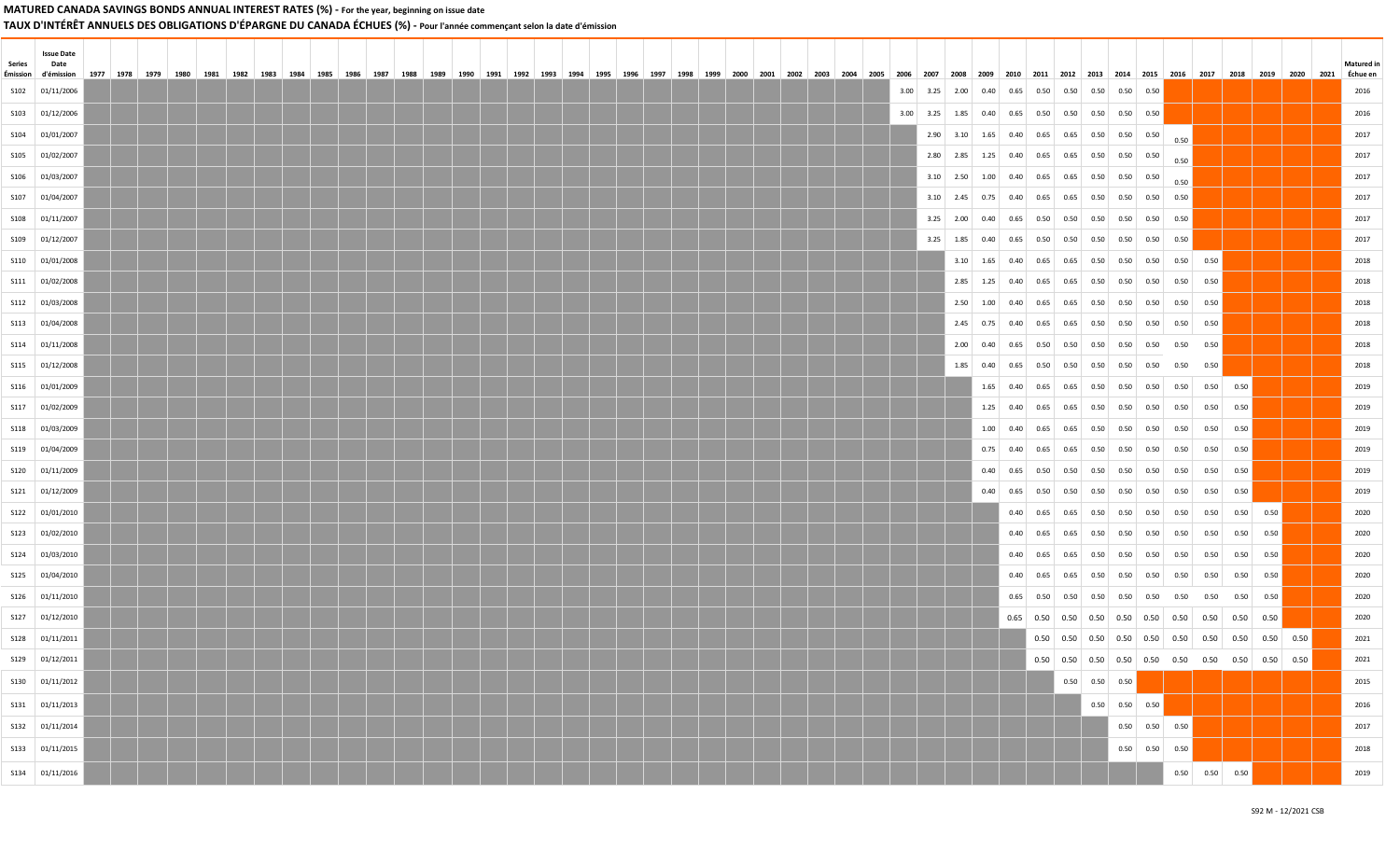TAUX D'INTÉRÊT ANNUELS DES OBLIGATIONS D'ÉPARGNE DU CANADA ÉCHUES (%) - Pour l'année commençant selon la date d'émission

| Series | <b>Issue Date</b><br>Date |      |      |  |      |      |  |  |      |      |      |      |      |  |      |      |      |      |      |      |  |                     |  |                                                                              |                                                     |      |  |                  |                                                     |      |                                                                                         |  |  | <b>Matured</b> in |
|--------|---------------------------|------|------|--|------|------|--|--|------|------|------|------|------|--|------|------|------|------|------|------|--|---------------------|--|------------------------------------------------------------------------------|-----------------------------------------------------|------|--|------------------|-----------------------------------------------------|------|-----------------------------------------------------------------------------------------|--|--|-------------------|
|        | Émission d'émission       | 1977 | 1978 |  | 1982 | 1984 |  |  | 1990 | 1991 | 1992 | 1993 | 1994 |  | 1996 | 1997 | 1998 | 1999 | 2000 | 2001 |  | 2002 2003 2004 2005 |  | 2006<br>2007                                                                 | 2008                                                |      |  |                  |                                                     |      | 2009   2010   2011   2012   2013   2014   2015   2016   2017   2018   2019              |  |  | Échue en          |
|        | \$102 01/11/2006          |      |      |  |      |      |  |  |      |      |      |      |      |  |      |      |      |      |      |      |  |                     |  | 3.00 3.25 2.00 0.40 0.65 0.50 0.50 0.50 0.50 0.50 0.50                       |                                                     |      |  |                  |                                                     |      |                                                                                         |  |  | 2016              |
|        | S103 01/12/2006           |      |      |  |      |      |  |  |      |      |      |      |      |  |      |      |      |      |      |      |  |                     |  | $3.00$ $3.25$ $1.85$ $0.40$ $0.65$ $0.50$ $0.50$ $0.50$ $0.50$ $0.50$ $0.50$ |                                                     |      |  |                  |                                                     |      |                                                                                         |  |  | 2016              |
|        | \$104 01/01/2007          |      |      |  |      |      |  |  |      |      |      |      |      |  |      |      |      |      |      |      |  |                     |  |                                                                              | 2.90 3.10 1.65 0.40 0.65 0.65 0.50 0.50 0.50        |      |  |                  |                                                     | 0.50 |                                                                                         |  |  | 2017              |
|        | \$105 01/02/2007          |      |      |  |      |      |  |  |      |      |      |      |      |  |      |      |      |      |      |      |  |                     |  |                                                                              | 2.80 2.85 1.25 0.40 0.65 0.65 0.50 0.50 0.50        |      |  |                  |                                                     | 0.50 |                                                                                         |  |  | 2017              |
|        | \$106 01/03/2007          |      |      |  |      |      |  |  |      |      |      |      |      |  |      |      |      |      |      |      |  |                     |  |                                                                              | $3.10$ 2.50 1.00 0.40 0.65 0.65 0.50 0.50 0.50      |      |  |                  |                                                     | 0.50 |                                                                                         |  |  | 2017              |
|        | \$107 01/04/2007          |      |      |  |      |      |  |  |      |      |      |      |      |  |      |      |      |      |      |      |  |                     |  |                                                                              | $3.10$ 2.45 0.75 0.40 0.65 0.65 0.50 0.50 0.50 0.50 |      |  |                  |                                                     |      |                                                                                         |  |  | 2017              |
|        | \$108 01/11/2007          |      |      |  |      |      |  |  |      |      |      |      |      |  |      |      |      |      |      |      |  |                     |  |                                                                              |                                                     |      |  |                  |                                                     |      |                                                                                         |  |  | 2017              |
|        | \$109 01/12/2007          |      |      |  |      |      |  |  |      |      |      |      |      |  |      |      |      |      |      |      |  |                     |  |                                                                              | 3.25 1.85 0.40 0.65 0.50 0.50 0.50 0.50 0.50 0.50   |      |  |                  |                                                     |      |                                                                                         |  |  | 2017              |
|        | \$110 01/01/2008          |      |      |  |      |      |  |  |      |      |      |      |      |  |      |      |      |      |      |      |  |                     |  |                                                                              |                                                     |      |  |                  |                                                     |      | 3.10 1.65 0.40 0.65 0.65 0.50 0.50 0.50 0.50 0.50                                       |  |  | 2018              |
|        | S111 01/02/2008           |      |      |  |      |      |  |  |      |      |      |      |      |  |      |      |      |      |      |      |  |                     |  |                                                                              |                                                     |      |  |                  |                                                     |      | 2.85 1.25 0.40 0.65 0.65 0.50 0.50 0.50 0.50 0.50                                       |  |  | 2018              |
|        | \$112 01/03/2008          |      |      |  |      |      |  |  |      |      |      |      |      |  |      |      |      |      |      |      |  |                     |  |                                                                              |                                                     |      |  |                  |                                                     |      | 2.50 1.00 0.40 0.65 0.65 0.50 0.50 0.50 0.50 0.50                                       |  |  | 2018              |
|        | S113 01/04/2008           |      |      |  |      |      |  |  |      |      |      |      |      |  |      |      |      |      |      |      |  |                     |  |                                                                              |                                                     |      |  |                  |                                                     |      | 2.45 0.75 0.40 0.65 0.65 0.50 0.50 0.50 0.50 0.50                                       |  |  | 2018              |
|        | S114 01/11/2008           |      |      |  |      |      |  |  |      |      |      |      |      |  |      |      |      |      |      |      |  |                     |  |                                                                              |                                                     |      |  |                  |                                                     |      |                                                                                         |  |  | 2018              |
|        | \$115 01/12/2008          |      |      |  |      |      |  |  |      |      |      |      |      |  |      |      |      |      |      |      |  |                     |  |                                                                              |                                                     |      |  |                  |                                                     |      |                                                                                         |  |  | 2018              |
|        | \$116 01/01/2009          |      |      |  |      |      |  |  |      |      |      |      |      |  |      |      |      |      |      |      |  |                     |  |                                                                              |                                                     |      |  |                  |                                                     |      |                                                                                         |  |  | 2019              |
|        | \$117 01/02/2009          |      |      |  |      |      |  |  |      |      |      |      |      |  |      |      |      |      |      |      |  |                     |  |                                                                              |                                                     |      |  |                  |                                                     |      |                                                                                         |  |  | 2019              |
|        | \$118 01/03/2009          |      |      |  |      |      |  |  |      |      |      |      |      |  |      |      |      |      |      |      |  |                     |  |                                                                              |                                                     |      |  |                  |                                                     |      |                                                                                         |  |  | 2019              |
|        | S119 01/04/2009           |      |      |  |      |      |  |  |      |      |      |      |      |  |      |      |      |      |      |      |  |                     |  |                                                                              |                                                     |      |  |                  |                                                     |      |                                                                                         |  |  | 2019              |
|        | \$120 01/11/2009          |      |      |  |      |      |  |  |      |      |      |      |      |  |      |      |      |      |      |      |  |                     |  |                                                                              |                                                     | 0.40 |  |                  |                                                     |      |                                                                                         |  |  | 2019              |
|        | \$121 01/12/2009          |      |      |  |      |      |  |  |      |      |      |      |      |  |      |      |      |      |      |      |  |                     |  |                                                                              |                                                     |      |  |                  |                                                     |      |                                                                                         |  |  | 2019              |
|        | \$122 01/01/2010          |      |      |  |      |      |  |  |      |      |      |      |      |  |      |      |      |      |      |      |  |                     |  |                                                                              |                                                     |      |  |                  |                                                     |      |                                                                                         |  |  | 2020              |
|        | \$123 01/02/2010          |      |      |  |      |      |  |  |      |      |      |      |      |  |      |      |      |      |      |      |  |                     |  |                                                                              |                                                     |      |  |                  |                                                     |      |                                                                                         |  |  | 2020              |
|        | \$124 01/03/2010          |      |      |  |      |      |  |  |      |      |      |      |      |  |      |      |      |      |      |      |  |                     |  |                                                                              |                                                     |      |  |                  |                                                     |      |                                                                                         |  |  | 2020              |
|        | \$125 01/04/2010          |      |      |  |      |      |  |  |      |      |      |      |      |  |      |      |      |      |      |      |  |                     |  |                                                                              |                                                     |      |  |                  |                                                     |      |                                                                                         |  |  | 2020              |
|        | \$126 01/11/2010          |      |      |  |      |      |  |  |      |      |      |      |      |  |      |      |      |      |      |      |  |                     |  |                                                                              |                                                     |      |  |                  |                                                     |      |                                                                                         |  |  | 2020              |
|        | \$127 01/12/2010          |      |      |  |      |      |  |  |      |      |      |      |      |  |      |      |      |      |      |      |  |                     |  |                                                                              |                                                     |      |  |                  |                                                     |      |                                                                                         |  |  | 2020              |
|        | \$128 01/11/2011          |      |      |  |      |      |  |  |      |      |      |      |      |  |      |      |      |      |      |      |  |                     |  |                                                                              |                                                     |      |  |                  |                                                     |      | $0.50$   $0.50$   $0.50$   $0.50$   $0.50$   $0.50$   $0.50$   $0.50$   $0.50$   $0.50$ |  |  | 2021              |
|        | \$129 01/12/2011          |      |      |  |      |      |  |  |      |      |      |      |      |  |      |      |      |      |      |      |  |                     |  |                                                                              |                                                     |      |  |                  |                                                     |      |                                                                                         |  |  | 2021              |
|        | S130 01/11/2012           |      |      |  |      |      |  |  |      |      |      |      |      |  |      |      |      |      |      |      |  |                     |  |                                                                              |                                                     |      |  | $0.50$ 0.50 0.50 |                                                     |      |                                                                                         |  |  | 2015              |
|        | \$131 01/11/2013          |      |      |  |      |      |  |  |      |      |      |      |      |  |      |      |      |      |      |      |  |                     |  |                                                                              |                                                     |      |  |                  | $0.50$ 0.50 0.50                                    |      |                                                                                         |  |  | 2016              |
|        | S132 01/11/2014           |      |      |  |      |      |  |  |      |      |      |      |      |  |      |      |      |      |      |      |  |                     |  |                                                                              |                                                     |      |  |                  | $0.50 \begin{array}{ c c } 0.50 & 0.50 \end{array}$ |      |                                                                                         |  |  | 2017              |
|        | S133 01/11/2015           |      |      |  |      |      |  |  |      |      |      |      |      |  |      |      |      |      |      |      |  |                     |  |                                                                              |                                                     |      |  |                  | $0.50$ 0.50 0.50                                    |      |                                                                                         |  |  | 2018              |
|        |                           |      |      |  |      |      |  |  |      |      |      |      |      |  |      |      |      |      |      |      |  |                     |  |                                                                              |                                                     |      |  |                  |                                                     |      |                                                                                         |  |  |                   |
|        | S134 01/11/2016           |      |      |  |      |      |  |  |      |      |      |      |      |  |      |      |      |      |      |      |  |                     |  |                                                                              |                                                     |      |  |                  |                                                     |      | $0.50$ $0.50$ $0.50$                                                                    |  |  | 2019              |